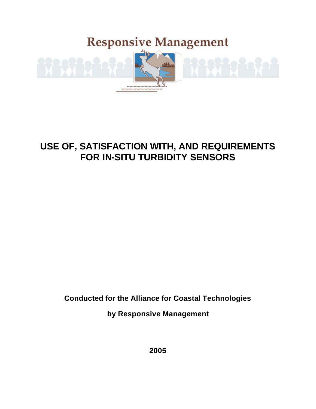# **Responsive Management**



## **USE OF, SATISFACTION WITH, AND REQUIREMENTS FOR IN-SITU TURBIDITY SENSORS**

**Conducted for the Alliance for Coastal Technologies**

**by Responsive Management**

**2005**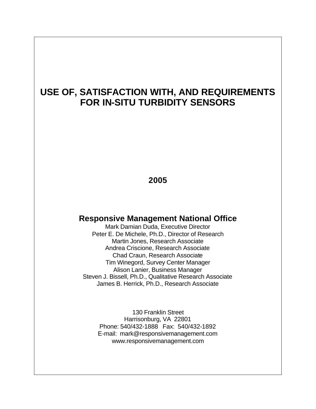## **USE OF, SATISFACTION WITH, AND REQUIREMENTS FOR IN-SITU TURBIDITY SENSORS**

### **2005**

### **Responsive Management National Office**

Mark Damian Duda, Executive Director Peter E. De Michele, Ph.D., Director of Research Martin Jones, Research Associate Andrea Criscione, Research Associate Chad Craun, Research Associate Tim Winegord, Survey Center Manager Alison Lanier, Business Manager Steven J. Bissell, Ph.D., Qualitative Research Associate James B. Herrick, Ph.D., Research Associate

130 Franklin Street Harrisonburg, VA 22801 Phone: 540/432-1888 Fax: 540/432-1892 E-mail: mark@responsivemanagement.com www.responsivemanagement.com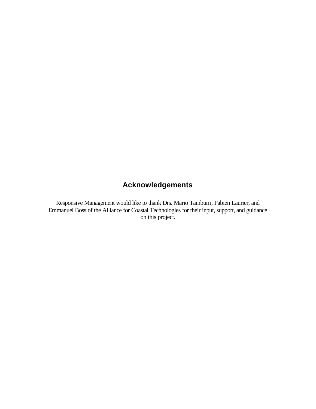## **Acknowledgements**

Responsive Management would like to thank Drs. Mario Tamburri, Fabien Laurier, and Emmanuel Boss of the Alliance for Coastal Technologies for their input, support, and guidance on this project.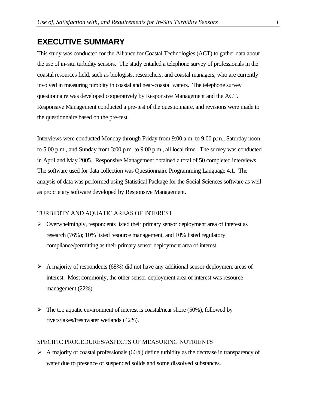### **EXECUTIVE SUMMARY**

This study was conducted for the Alliance for Coastal Technologies (ACT) to gather data about the use of in-situ turbidity sensors. The study entailed a telephone survey of professionals in the coastal resources field, such as biologists, researchers, and coastal managers, who are currently involved in measuring turbidity in coastal and near-coastal waters. The telephone survey questionnaire was developed cooperatively by Responsive Management and the ACT. Responsive Management conducted a pre-test of the questionnaire, and revisions were made to the questionnaire based on the pre-test.

Interviews were conducted Monday through Friday from 9:00 a.m. to 9:00 p.m., Saturday noon to 5:00 p.m., and Sunday from 3:00 p.m. to 9:00 p.m., all local time. The survey was conducted in April and May 2005. Responsive Management obtained a total of 50 completed interviews. The software used for data collection was Questionnaire Programming Language 4.1. The analysis of data was performed using Statistical Package for the Social Sciences software as well as proprietary software developed by Responsive Management.

### TURBIDITY AND AQUATIC AREAS OF INTEREST

- $\triangleright$  Overwhelmingly, respondents listed their primary sensor deployment area of interest as research (76%); 10% listed resource management, and 10% listed regulatory compliance/permitting as their primary sensor deployment area of interest.
- $\triangleright$  A majority of respondents (68%) did not have any additional sensor deployment areas of interest. Most commonly, the other sensor deployment area of interest was resource management (22%).
- $\triangleright$  The top aquatic environment of interest is coastal/near shore (50%), followed by rivers/lakes/freshwater wetlands (42%).

### SPECIFIC PROCEDURES/ASPECTS OF MEASURING NUTRIENTS

 $\triangleright$  A majority of coastal professionals (66%) define turbidity as the decrease in transparency of water due to presence of suspended solids and some dissolved substances.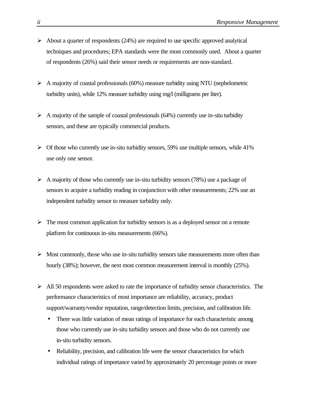- $\triangleright$  About a quarter of respondents (24%) are required to use specific approved analytical techniques and procedures; EPA standards were the most commonly used. About a quarter of respondents (26%) said their sensor needs or requirements are non-standard.
- $\triangleright$  A majority of coastal professionals (60%) measure turbidity using NTU (nephelometric turbidity units), while 12% measure turbidity using mg/l (milligrams per liter).
- $\triangleright$  A majority of the sample of coastal professionals (64%) currently use in-situ turbidity sensors, and these are typically commercial products.
- $\triangleright$  Of those who currently use in-situ turbidity sensors, 59% use multiple sensors, while 41% use only one sensor.
- $\triangleright$  A majority of those who currently use in-situ turbidity sensors (78%) use a package of sensors to acquire a turbidity reading in conjunction with other measurements; 22% use an independent turbidity sensor to measure turbidity only.
- $\triangleright$  The most common application for turbidity sensors is as a deployed sensor on a remote platform for continuous in-situ measurements (66%).
- $\triangleright$  Most commonly, those who use in-situ turbidity sensors take measurements more often than hourly (38%); however, the next most common measurement interval is monthly (25%).
- $\triangleright$  All 50 respondents were asked to rate the importance of turbidity sensor characteristics. The performance characteristics of most importance are reliability, accuracy, product support/warranty/vendor reputation, range/detection limits, precision, and calibration life.
	- There was little variation of mean ratings of importance for each characteristic among those who currently use in-situ turbidity sensors and those who do not currently use in-situ turbidity sensors.
	- Reliability, precision, and calibration life were the sensor characteristics for which individual ratings of importance varied by approximately 20 percentage points or more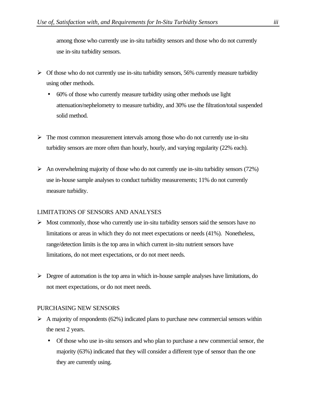among those who currently use in-situ turbidity sensors and those who do not currently use in-situ turbidity sensors.

- $\triangleright$  Of those who do not currently use in-situ turbidity sensors, 56% currently measure turbidity using other methods.
	- 60% of those who currently measure turbidity using other methods use light attenuation/nephelometry to measure turbidity, and 30% use the filtration/total suspended solid method.
- $\triangleright$  The most common measurement intervals among those who do not currently use in-situ turbidity sensors are more often than hourly, hourly, and varying regularity (22% each).
- $\triangleright$  An overwhelming majority of those who do not currently use in-situ turbidity sensors (72%) use in-house sample analyses to conduct turbidity measurements; 11% do not currently measure turbidity.

### LIMITATIONS OF SENSORS AND ANALYSES

- $\triangleright$  Most commonly, those who currently use in-situ turbidity sensors said the sensors have no limitations or areas in which they do not meet expectations or needs (41%). Nonetheless, range/detection limits is the top area in which current in-situ nutrient sensors have limitations, do not meet expectations, or do not meet needs.
- $\triangleright$  Degree of automation is the top area in which in-house sample analyses have limitations, do not meet expectations, or do not meet needs.

#### PURCHASING NEW SENSORS

- $\triangleright$  A majority of respondents (62%) indicated plans to purchase new commercial sensors within the next 2 years.
	- Of those who use in-situ sensors and who plan to purchase a new commercial sensor, the majority (63%) indicated that they will consider a different type of sensor than the one they are currently using.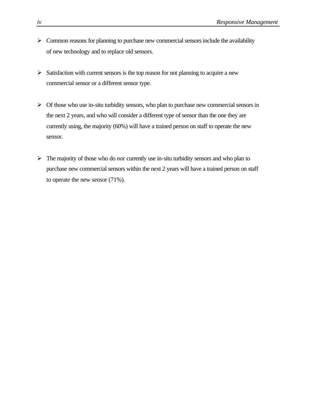- $\triangleright$  Common reasons for planning to purchase new commercial sensors include the availability of new technology and to replace old sensors.
- $\triangleright$  Satisfaction with current sensors is the top reason for not planning to acquire a new commercial sensor or a different sensor type.
- $\triangleright$  Of those who use in-situ turbidity sensors, who plan to purchase new commercial sensors in the next 2 years, and who will consider a different type of sensor than the one they are currently using, the majority (60%) will have a trained person on staff to operate the new sensor.
- $\triangleright$  The majority of those who do *not* currently use in-situ turbidity sensors and who plan to purchase new commercial sensors within the next 2 years will have a trained person on staff to operate the new sensor (71%).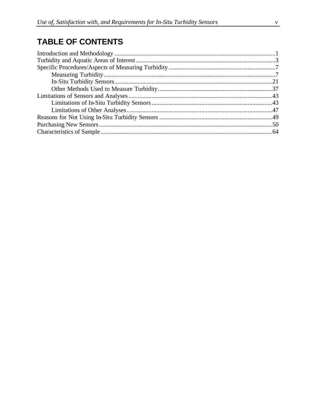## **TABLE OF CONTENTS**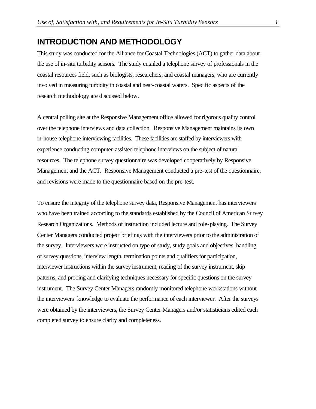### **INTRODUCTION AND METHODOLOGY**

This study was conducted for the Alliance for Coastal Technologies (ACT) to gather data about the use of in-situ turbidity sensors. The study entailed a telephone survey of professionals in the coastal resources field, such as biologists, researchers, and coastal managers, who are currently involved in measuring turbidity in coastal and near-coastal waters. Specific aspects of the research methodology are discussed below.

A central polling site at the Responsive Management office allowed for rigorous quality control over the telephone interviews and data collection. Responsive Management maintains its own in-house telephone interviewing facilities. These facilities are staffed by interviewers with experience conducting computer-assisted telephone interviews on the subject of natural resources. The telephone survey questionnaire was developed cooperatively by Responsive Management and the ACT. Responsive Management conducted a pre-test of the questionnaire, and revisions were made to the questionnaire based on the pre-test.

To ensure the integrity of the telephone survey data, Responsive Management has interviewers who have been trained according to the standards established by the Council of American Survey Research Organizations. Methods of instruction included lecture and role-playing. The Survey Center Managers conducted project briefings with the interviewers prior to the administration of the survey. Interviewers were instructed on type of study, study goals and objectives, handling of survey questions, interview length, termination points and qualifiers for participation, interviewer instructions within the survey instrument, reading of the survey instrument, skip patterns, and probing and clarifying techniques necessary for specific questions on the survey instrument. The Survey Center Managers randomly monitored telephone workstations without the interviewers' knowledge to evaluate the performance of each interviewer. After the surveys were obtained by the interviewers, the Survey Center Managers and/or statisticians edited each completed survey to ensure clarity and completeness.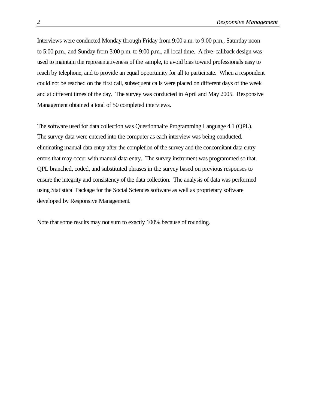Interviews were conducted Monday through Friday from 9:00 a.m. to 9:00 p.m., Saturday noon to 5:00 p.m., and Sunday from 3:00 p.m. to 9:00 p.m., all local time. A five-callback design was used to maintain the representativeness of the sample, to avoid bias toward professionals easy to reach by telephone, and to provide an equal opportunity for all to participate. When a respondent could not be reached on the first call, subsequent calls were placed on different days of the week and at different times of the day. The survey was conducted in April and May 2005. Responsive Management obtained a total of 50 completed interviews.

The software used for data collection was Questionnaire Programming Language 4.1 (QPL). The survey data were entered into the computer as each interview was being conducted, eliminating manual data entry after the completion of the survey and the concomitant data entry errors that may occur with manual data entry. The survey instrument was programmed so that QPL branched, coded, and substituted phrases in the survey based on previous responses to ensure the integrity and consistency of the data collection. The analysis of data was performed using Statistical Package for the Social Sciences software as well as proprietary software developed by Responsive Management.

Note that some results may not sum to exactly 100% because of rounding.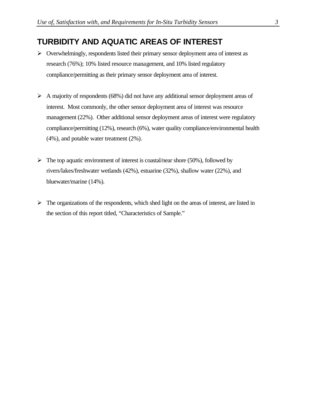### **TURBIDITY AND AQUATIC AREAS OF INTEREST**

- $\triangleright$  Overwhelmingly, respondents listed their primary sensor deployment area of interest as research (76%); 10% listed resource management, and 10% listed regulatory compliance/permitting as their primary sensor deployment area of interest.
- $\triangleright$  A majority of respondents (68%) did not have any additional sensor deployment areas of interest. Most commonly, the other sensor deployment area of interest was resource management (22%). Other additional sensor deployment areas of interest were regulatory compliance/permitting (12%), research (6%), water quality compliance/environmental health (4%), and potable water treatment (2%).
- $\triangleright$  The top aquatic environment of interest is coastal/near shore (50%), followed by rivers/lakes/freshwater wetlands (42%), estuarine (32%), shallow water (22%), and bluewater/marine (14%).
- $\triangleright$  The organizations of the respondents, which shed light on the areas of interest, are listed in the section of this report titled, "Characteristics of Sample."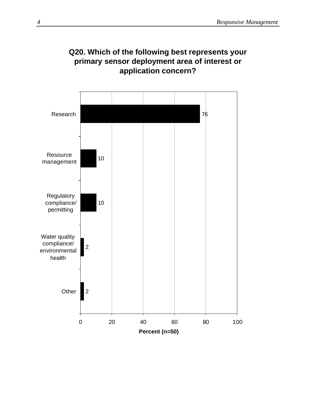### **Q20. Which of the following best represents your primary sensor deployment area of interest or application concern?**

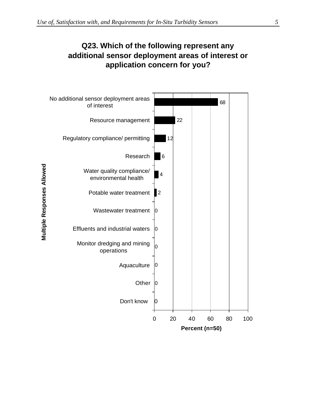### **Q23. Which of the following represent any additional sensor deployment areas of interest or application concern for you?**

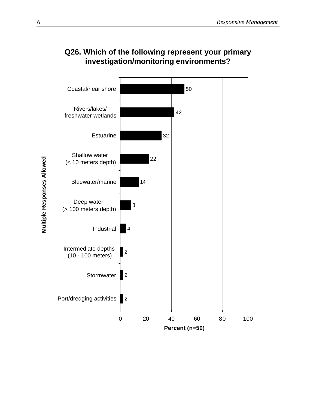

## **Q26. Which of the following represent your primary investigation/monitoring environments?**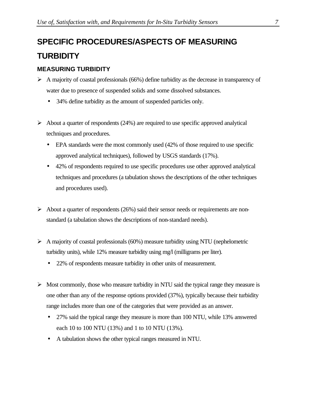# **SPECIFIC PROCEDURES/ASPECTS OF MEASURING TURBIDITY**

### **MEASURING TURBIDITY**

- $\triangleright$  A majority of coastal professionals (66%) define turbidity as the decrease in transparency of water due to presence of suspended solids and some dissolved substances.
	- 34% define turbidity as the amount of suspended particles only.
- $\triangleright$  About a quarter of respondents (24%) are required to use specific approved analytical techniques and procedures.
	- EPA standards were the most commonly used (42% of those required to use specific approved analytical techniques), followed by USGS standards (17%).
	- 42% of respondents required to use specific procedures use other approved analytical techniques and procedures (a tabulation shows the descriptions of the other techniques and procedures used).
- $\triangleright$  About a quarter of respondents (26%) said their sensor needs or requirements are nonstandard (a tabulation shows the descriptions of non-standard needs).
- $\triangleright$  A majority of coastal professionals (60%) measure turbidity using NTU (nephelometric turbidity units), while 12% measure turbidity using mg/l (milligrams per liter).
	- 22% of respondents measure turbidity in other units of measurement.
- $\triangleright$  Most commonly, those who measure turbidity in NTU said the typical range they measure is one other than any of the response options provided (37%), typically because their turbidity range includes more than one of the categories that were provided as an answer.
	- 27% said the typical range they measure is more than 100 NTU, while 13% answered each 10 to 100 NTU (13%) and 1 to 10 NTU (13%).
	- A tabulation shows the other typical ranges measured in NTU.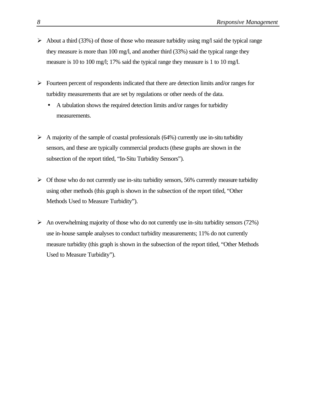- $\triangleright$  About a third (33%) of those of those who measure turbidity using mg/l said the typical range they measure is more than 100 mg/l, and another third (33%) said the typical range they measure is 10 to 100 mg/l; 17% said the typical range they measure is 1 to 10 mg/l.
- $\triangleright$  Fourteen percent of respondents indicated that there are detection limits and/or ranges for turbidity measurements that are set by regulations or other needs of the data.
	- A tabulation shows the required detection limits and/or ranges for turbidity measurements.
- $\triangleright$  A majority of the sample of coastal professionals (64%) currently use in-situ turbidity sensors, and these are typically commercial products (these graphs are shown in the subsection of the report titled, "In-Situ Turbidity Sensors").
- $\triangleright$  Of those who do not currently use in-situ turbidity sensors, 56% currently measure turbidity using other methods (this graph is shown in the subsection of the report titled, "Other Methods Used to Measure Turbidity").
- $\triangleright$  An overwhelming majority of those who do not currently use in-situ turbidity sensors (72%) use in-house sample analyses to conduct turbidity measurements; 11% do not currently measure turbidity (this graph is shown in the subsection of the report titled, "Other Methods Used to Measure Turbidity").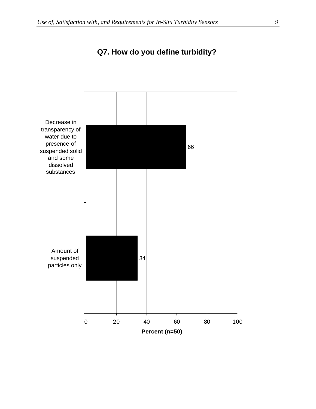

### **Q7. How do you define turbidity?**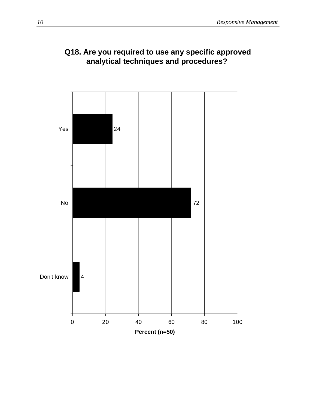

### **Q18. Are you required to use any specific approved analytical techniques and procedures?**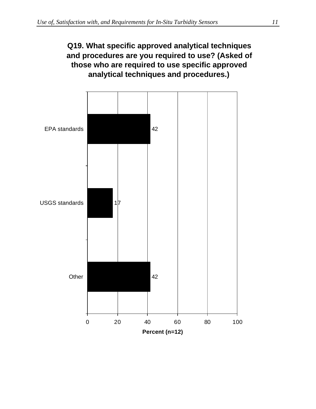## **Q19. What specific approved analytical techniques and procedures are you required to use? (Asked of those who are required to use specific approved analytical techniques and procedures.)**

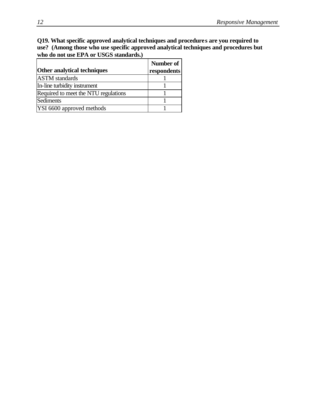### **Q19. What specific approved analytical techniques and procedures are you required to use? (Among those who use specific approved analytical techniques and procedures but who do not use EPA or USGS standards.)**

|                                      | Number of   |
|--------------------------------------|-------------|
| <b>Other analytical techniques</b>   | respondents |
| <b>ASTM</b> standards                |             |
| In-line turbidity instrument         |             |
| Required to meet the NTU regulations |             |
| Sediments                            |             |
| YSI 6600 approved methods            |             |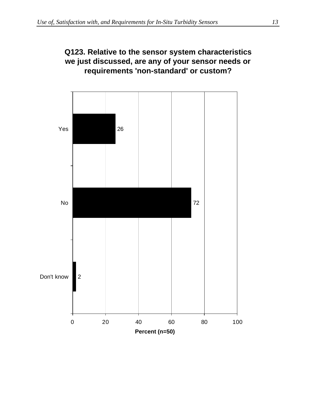

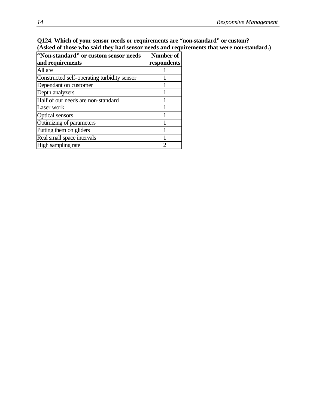### **Q124. Which of your sensor needs or requirements are "non-standard" or custom? (Asked of those who said they had sensor needs and requirements that were non-standard.)**

| "Non-standard" or custom sensor needs       | Number of      |
|---------------------------------------------|----------------|
| and requirements                            | respondents    |
| All are                                     |                |
| Constructed self-operating turbidity sensor |                |
| Dependant on customer                       |                |
| Depth analyzers                             |                |
| Half of our needs are non-standard          |                |
| Laser work                                  |                |
| <b>Optical sensors</b>                      |                |
| Optimizing of parameters                    |                |
| Putting them on gliders                     |                |
| Real small space intervals                  |                |
| High sampling rate                          | $\mathfrak{D}$ |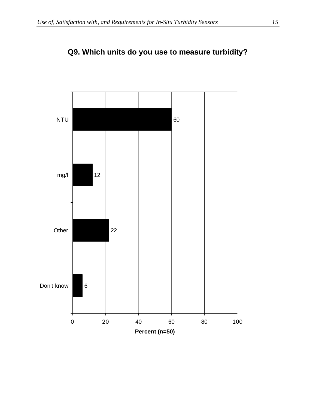

## **Q9. Which units do you use to measure turbidity?**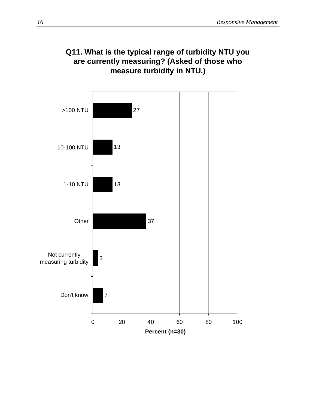### **Q11. What is the typical range of turbidity NTU you are currently measuring? (Asked of those who measure turbidity in NTU.)**

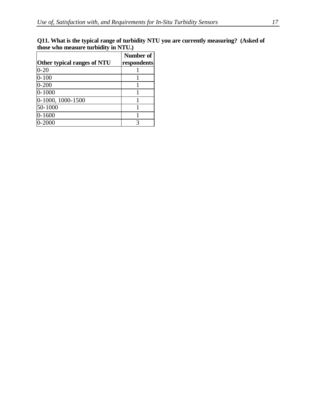| Q11. What is the typical range of turbidity NTU you are currently measuring? (Asked of |  |
|----------------------------------------------------------------------------------------|--|
| those who measure turbidity in NTU.)                                                   |  |

|                             | Number of   |
|-----------------------------|-------------|
| Other typical ranges of NTU | respondents |
| $0 - 20$                    |             |
| $0 - 100$                   |             |
| $0 - 200$                   |             |
| $0 - 1000$                  |             |
| 0-1000, 1000-1500           |             |
| 50-1000                     |             |
| $0 - 1600$                  |             |
| $0 - 2000$                  |             |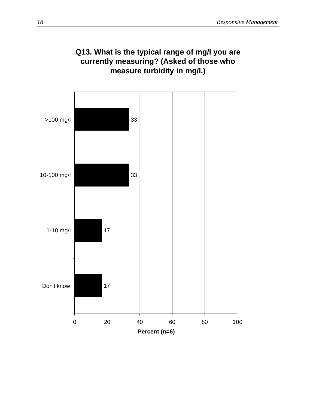

# **Q13. What is the typical range of mg/l you are currently measuring? (Asked of those who**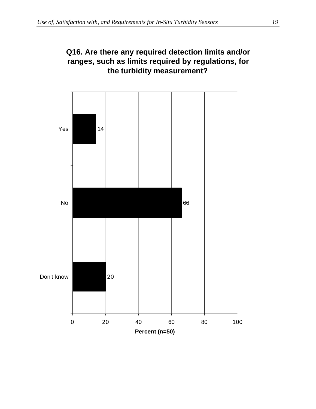

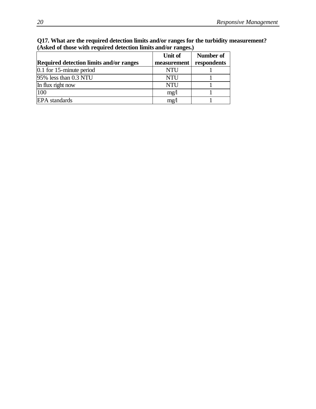| Q17. What are the required detection limits and/or ranges for the turbidity measurement? |
|------------------------------------------------------------------------------------------|
| (Asked of those with required detection limits and/or ranges.)                           |

|                                                | Unit of     | Number of   |
|------------------------------------------------|-------------|-------------|
| <b>Required detection limits and/or ranges</b> | measurement | respondents |
| $0.1$ for 15-minute period                     | <b>NTU</b>  |             |
| 95% less than 0.3 NTU                          | <b>NTU</b>  |             |
| In flux right now                              | <b>NTU</b>  |             |
| 100                                            | mg/1        |             |
| <b>EPA</b> standards                           | mg/1        |             |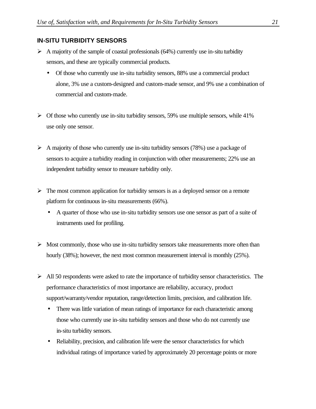### **IN-SITU TURBIDITY SENSORS**

- $\triangleright$  A majority of the sample of coastal professionals (64%) currently use in-situ turbidity sensors, and these are typically commercial products.
	- Of those who currently use in-situ turbidity sensors, 88% use a commercial product alone, 3% use a custom-designed and custom-made sensor, and 9% use a combination of commercial and custom-made.
- $\triangleright$  Of those who currently use in-situ turbidity sensors, 59% use multiple sensors, while 41% use only one sensor.
- $\triangleright$  A majority of those who currently use in-situ turbidity sensors (78%) use a package of sensors to acquire a turbidity reading in conjunction with other measurements; 22% use an independent turbidity sensor to measure turbidity only.
- $\triangleright$  The most common application for turbidity sensors is as a deployed sensor on a remote platform for continuous in-situ measurements (66%).
	- A quarter of those who use in-situ turbidity sensors use one sensor as part of a suite of instruments used for profiling.
- $\triangleright$  Most commonly, those who use in-situ turbidity sensors take measurements more often than hourly (38%); however, the next most common measurement interval is monthly (25%).
- $\triangleright$  All 50 respondents were asked to rate the importance of turbidity sensor characteristics. The performance characteristics of most importance are reliability, accuracy, product support/warranty/vendor reputation, range/detection limits, precision, and calibration life.
	- There was little variation of mean ratings of importance for each characteristic among those who currently use in-situ turbidity sensors and those who do not currently use in-situ turbidity sensors.
	- Reliability, precision, and calibration life were the sensor characteristics for which individual ratings of importance varied by approximately 20 percentage points or more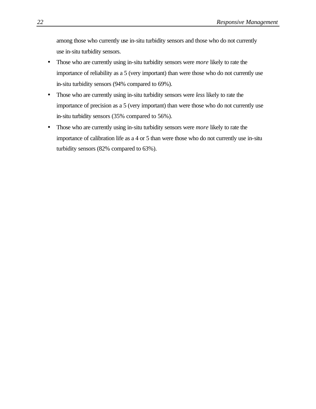among those who currently use in-situ turbidity sensors and those who do not currently use in-situ turbidity sensors.

- Those who are currently using in-situ turbidity sensors were *more* likely to rate the importance of reliability as a 5 (very important) than were those who do not currently use in-situ turbidity sensors (94% compared to 69%).
- Those who are currently using in-situ turbidity sensors were *less* likely to rate the importance of precision as a 5 (very important) than were those who do not currently use in-situ turbidity sensors (35% compared to 56%).
- Those who are currently using in-situ turbidity sensors were *more* likely to rate the importance of calibration life as a 4 or 5 than were those who do not currently use in-situ turbidity sensors (82% compared to 63%).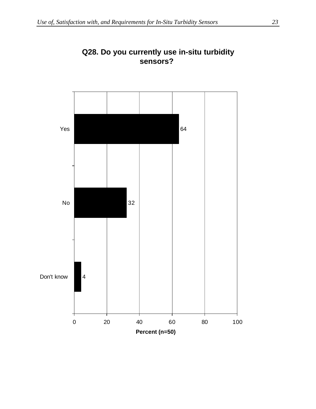

### **Q28. Do you currently use in-situ turbidity sensors?**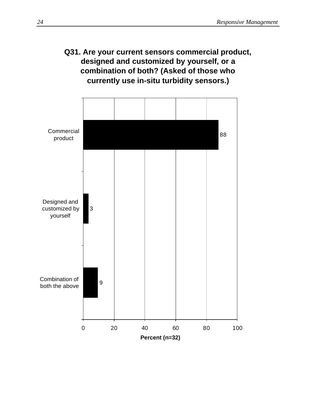### **Q31. Are your current sensors commercial product, designed and customized by yourself, or a combination of both? (Asked of those who currently use in-situ turbidity sensors.)**

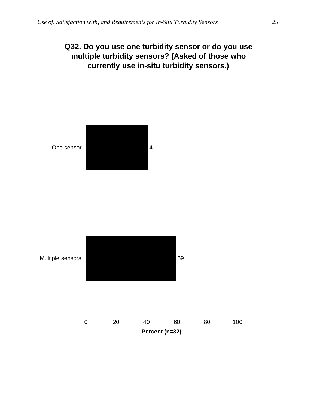### **Q32. Do you use one turbidity sensor or do you use multiple turbidity sensors? (Asked of those who currently use in-situ turbidity sensors.)**

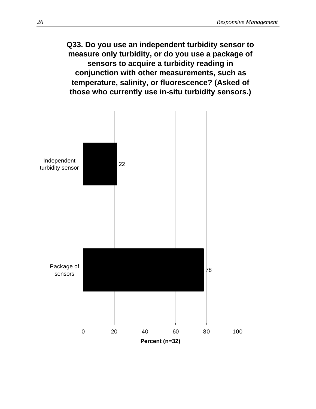### **Q33. Do you use an independent turbidity sensor to measure only turbidity, or do you use a package of sensors to acquire a turbidity reading in conjunction with other measurements, such as temperature, salinity, or fluorescence? (Asked of those who currently use in-situ turbidity sensors.)**

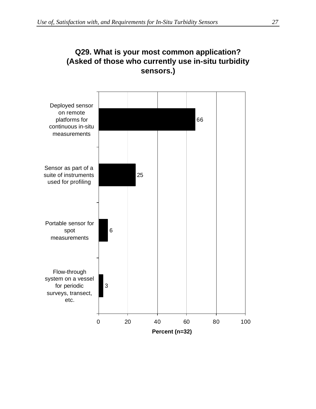

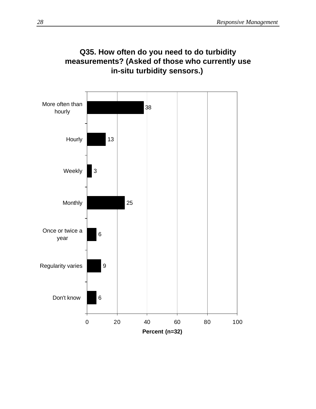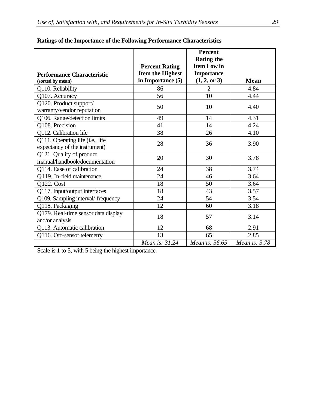|                                                |                         | <b>Percent</b><br><b>Rating the</b> |               |
|------------------------------------------------|-------------------------|-------------------------------------|---------------|
|                                                | <b>Percent Rating</b>   | <b>Item Low in</b>                  |               |
| <b>Performance Characteristic</b>              | <b>Item the Highest</b> | <b>Importance</b>                   |               |
| (sorted by mean)                               | in Importance (5)       | (1, 2, or 3)                        | Mean          |
| Q110. Reliability                              | 86                      | $\overline{2}$                      | 4.84          |
| Q107. Accuracy                                 | 56                      | 10                                  | 4.44          |
| Q120. Product support/                         | 50                      | 10                                  | 4.40          |
| warranty/vendor reputation                     |                         |                                     |               |
| Q106. Range/detection limits                   | 49                      | 14                                  | 4.31          |
| Q108. Precision                                | 41                      | 14                                  | 4.24          |
| Q112. Calibration life                         | 38                      | 26                                  | 4.10          |
| $\overline{Q1}11$ . Operating life (i.e., life | 28                      | 36                                  | 3.90          |
| expectancy of the instrument)                  |                         |                                     |               |
| Q121. Quality of product                       | 20                      | 30                                  | 3.78          |
| manual/handbook/documentation                  |                         |                                     |               |
| Q114. Ease of calibration                      | 24                      | 38                                  | 3.74          |
| Q119. In-field maintenance                     | 24                      | 46                                  | 3.64          |
| <b>Q122. Cost</b>                              | 18                      | 50                                  | 3.64          |
| Q117. Input/output interfaces                  | 18                      | 43                                  | 3.57          |
| Q109. Sampling interval/ frequency             | 24                      | 54                                  | 3.54          |
| Q118. Packaging                                | 12                      | 60                                  | 3.18          |
| Q179. Real-time sensor data display            | 18                      | 57                                  | 3.14          |
| and/or analysis                                |                         |                                     |               |
| Q113. Automatic calibration                    | 12                      | 68                                  | 2.91          |
| Q116. Off-sensor telemetry                     | 13                      | 65                                  | 2.85          |
|                                                | Mean is: 31.24          | Mean is: 36.65                      | Mean is: 3.78 |

#### **Ratings of the Importance of the Following Performance Characteristics**

Scale is 1 to 5, with 5 being the highest importance.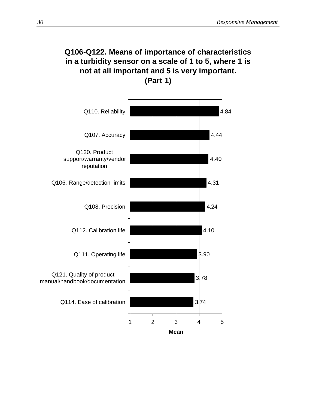# **Q106-Q122. Means of importance of characteristics in a turbidity sensor on a scale of 1 to 5, where 1 is not at all important and 5 is very important. (Part 1)**

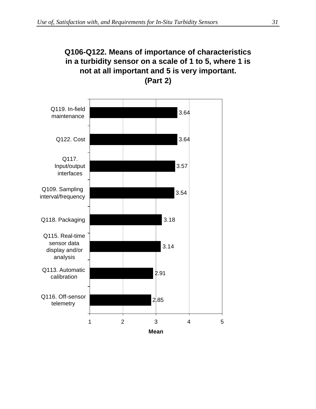# **Q106-Q122. Means of importance of characteristics in a turbidity sensor on a scale of 1 to 5, where 1 is not at all important and 5 is very important. (Part 2)**

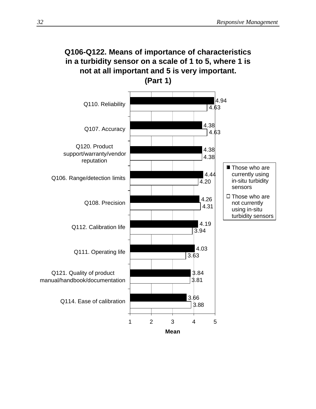### **Q106-Q122. Means of importance of characteristics in a turbidity sensor on a scale of 1 to 5, where 1 is not at all important and 5 is very important. (Part 1)**

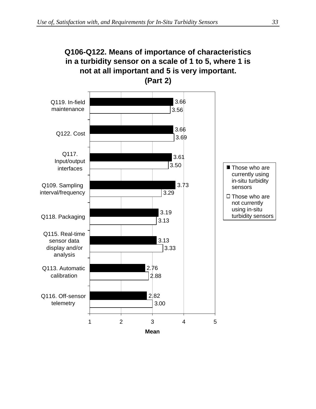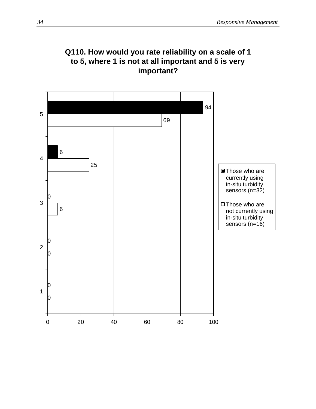

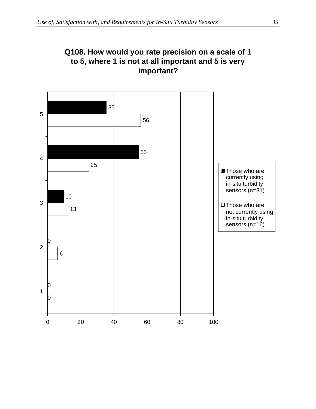### **Q108. How would you rate precision on a scale of 1 to 5, where 1 is not at all important and 5 is very important?**

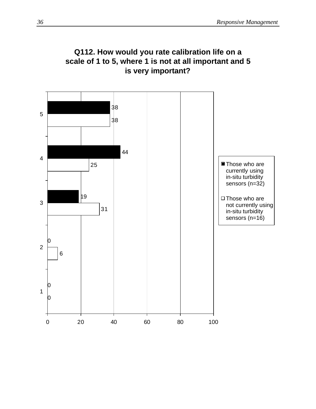

20 40 60 80 100

# **Q112. How would you rate calibration life on a scale of 1 to 5, where 1 is not at all important and 5**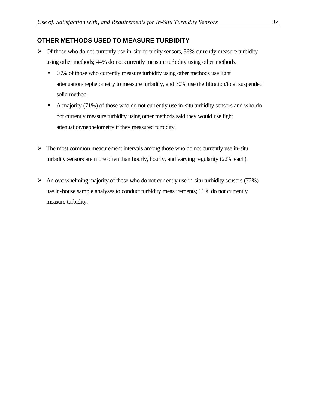#### **OTHER METHODS USED TO MEASURE TURBIDITY**

- $\triangleright$  Of those who do not currently use in-situ turbidity sensors, 56% currently measure turbidity using other methods; 44% do not currently measure turbidity using other methods.
	- 60% of those who currently measure turbidity using other methods use light attenuation/nephelometry to measure turbidity, and 30% use the filtration/total suspended solid method.
	- A majority (71%) of those who do not currently use in-situ turbidity sensors and who do not currently measure turbidity using other methods said they would use light attenuation/nephelometry if they measured turbidity.
- $\triangleright$  The most common measurement intervals among those who do not currently use in-situ turbidity sensors are more often than hourly, hourly, and varying regularity (22% each).
- $\triangleright$  An overwhelming majority of those who do not currently use in-situ turbidity sensors (72%) use in-house sample analyses to conduct turbidity measurements; 11% do not currently measure turbidity.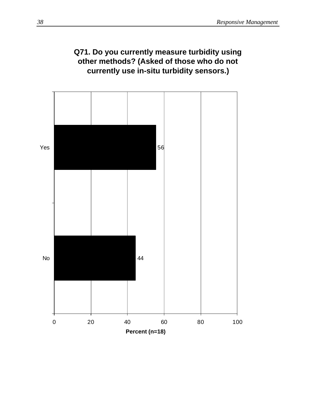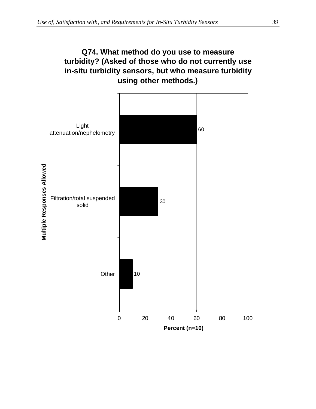

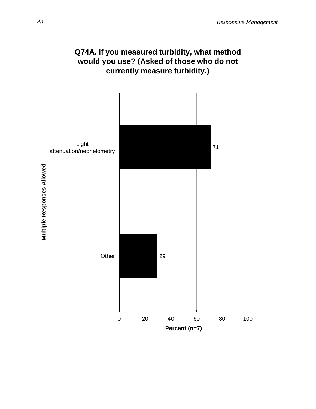

# **Q74A. If you measured turbidity, what method would you use? (Asked of those who do not currently measure turbidity.)**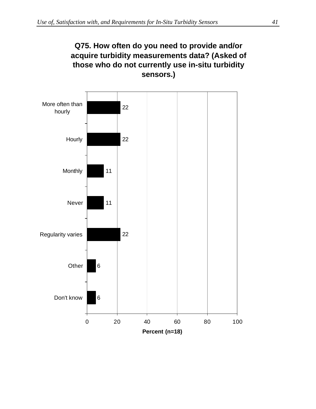### **Q75. How often do you need to provide and/or acquire turbidity measurements data? (Asked of those who do not currently use in-situ turbidity sensors.)**

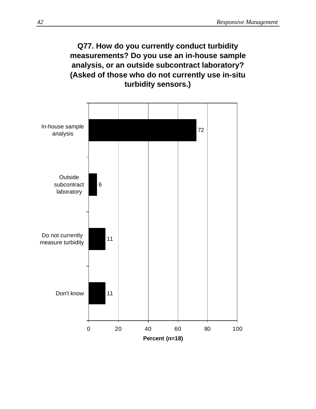

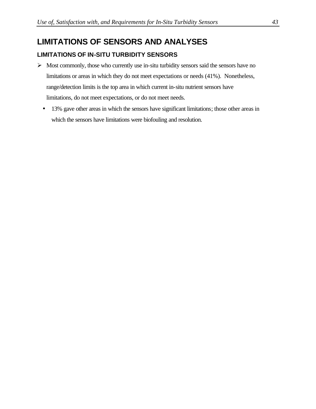### **LIMITATIONS OF SENSORS AND ANALYSES**

#### **LIMITATIONS OF IN-SITU TURBIDITY SENSORS**

- $\triangleright$  Most commonly, those who currently use in-situ turbidity sensors said the sensors have no limitations or areas in which they do not meet expectations or needs (41%). Nonetheless, range/detection limits is the top area in which current in-situ nutrient sensors have limitations, do not meet expectations, or do not meet needs.
	- 13% gave other areas in which the sensors have significant limitations; those other areas in which the sensors have limitations were biofouling and resolution.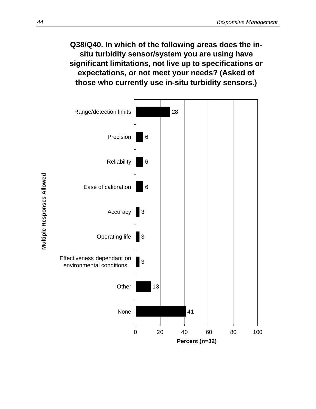### **Q38/Q40. In which of the following areas does the insitu turbidity sensor/system you are using have significant limitations, not live up to specifications or expectations, or not meet your needs? (Asked of those who currently use in-situ turbidity sensors.)**



**Multiple Responses Allowed Multiple Responses Allowed**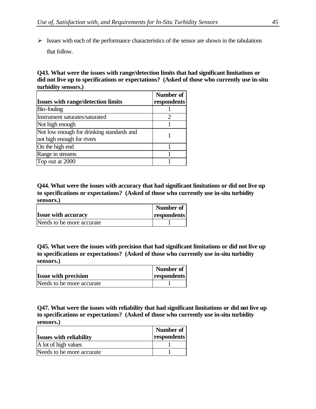$\triangleright$  Issues with each of the performance characteristics of the sensor are shown in the tabulations that follow.

**Q43. What were the issues with range/detection limits that had significant limitations or did not live up to specifications or expectations? (Asked of those who currently use in-situ turbidity sensors.)**

|                                                                         | Number of                   |
|-------------------------------------------------------------------------|-----------------------------|
| <b>Issues with range/detection limits</b>                               | respondents                 |
| Bio-fouling                                                             |                             |
| Instrument saturates/saturated                                          | $\mathcal{D}_{\mathcal{A}}$ |
| Not high enough                                                         |                             |
| Not low enough for drinking standards and<br>not high enough for rivers |                             |
| On the high end                                                         |                             |
| Range in streams                                                        |                             |
| Top out at 2000                                                         |                             |

**Q44. What were the issues with accuracy that had significant limitations or did not live up to specifications or expectations? (Asked of those who currently use in-situ turbidity sensors.)**

|                            | Number of   |
|----------------------------|-------------|
| <b>Issue with accuracy</b> | respondents |
| Needs to be more accurate  |             |

**Q45. What were the issues with precision that had significant limitations or did not live up to specifications or expectations? (Asked of those who currently use in-situ turbidity sensors.)**

|                             | Number of   |
|-----------------------------|-------------|
| <b>Issue with precision</b> | respondents |
| Needs to be more accurate   |             |

**Q47. What were the issues with reliability that had significant limitations or did not live up to specifications or expectations? (Asked of those who currently use in-situ turbidity sensors.)**

| <b>Issues with reliability</b> | Number of<br>respondents |
|--------------------------------|--------------------------|
| A lot of high values           |                          |
| Needs to be more accurate      |                          |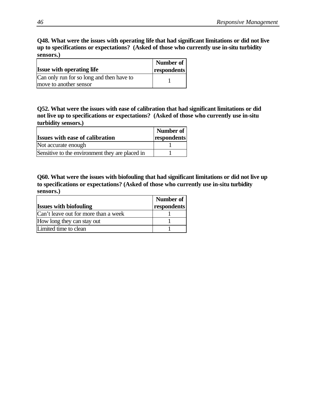#### **Q48. What were the issues with operating life that had significant limitations or did not live up to specifications or expectations? (Asked of those who currently use in-situ turbidity sensors.)**

|                                           | Number of   |
|-------------------------------------------|-------------|
| <b>Issue with operating life</b>          | respondents |
| Can only run for so long and then have to |             |
| move to another sensor                    |             |

**Q52. What were the issues with ease of calibration that had significant limitations or did not live up to specifications or expectations? (Asked of those who currently use in-situ turbidity sensors.)**

|                                                 | Number of   |
|-------------------------------------------------|-------------|
| <b>Issues with ease of calibration</b>          | respondents |
| Not accurate enough                             |             |
| Sensitive to the environment they are placed in |             |

**Q60. What were the issues with biofouling that had significant limitations or did not live up to specifications or expectations? (Asked of those who currently use in-situ turbidity sensors.)**

| <b>Issues with biofouling</b>        | Number of<br>respondents |
|--------------------------------------|--------------------------|
| Can't leave out for more than a week |                          |
| How long they can stay out           |                          |
| Limited time to clean                |                          |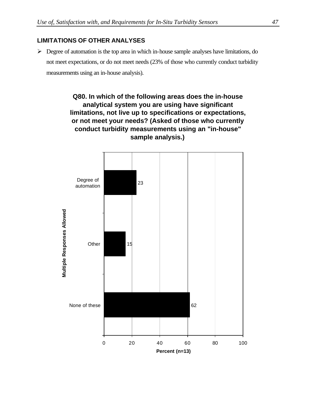#### **LIMITATIONS OF OTHER ANALYSES**

 $\triangleright$  Degree of automation is the top area in which in-house sample analyses have limitations, do not meet expectations, or do not meet needs (23% of those who currently conduct turbidity measurements using an in-house analysis).

> **Q80. In which of the following areas does the in-house analytical system you are using have significant limitations, not live up to specifications or expectations, or not meet your needs? (Asked of those who currently conduct turbidity measurements using an "in-house" sample analysis.)**

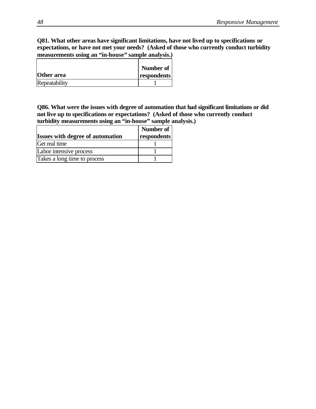**Q81. What other areas have significant limitations, have not lived up to specifications or expectations, or have not met your needs? (Asked of those who currently conduct turbidity measurements using an "in-house" sample analysis.)**

|               | Number of   |
|---------------|-------------|
| Other area    | respondents |
| Repeatability |             |

**Q86. What were the issues with degree of automation that had significant limitations or did not live up to specifications or expectations? (Asked of those who currently conduct turbidity measurements using an "in-house" sample analysis.)**

|                                         | Number of   |
|-----------------------------------------|-------------|
| <b>Issues with degree of automation</b> | respondents |
| Get real time                           |             |
| Labor intensive process                 |             |
| Takes a long time to process            |             |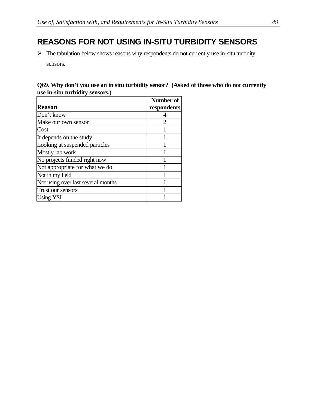# **REASONS FOR NOT USING IN-SITU TURBIDITY SENSORS**

 $\triangleright$  The tabulation below shows reasons why respondents do not currently use in-situ turbidity sensors.

#### **Q69. Why don't you use an in situ turbidity sensor? (Asked of those who do not currently use in-situ turbidity sensors.)**

|                                    | Number of      |
|------------------------------------|----------------|
| <b>Reason</b>                      | respondents    |
| Don't know                         |                |
| Make our own sensor                | $\overline{2}$ |
| Cost                               |                |
| It depends on the study            |                |
| Looking at suspended particles     |                |
| Mostly lab work                    |                |
| No projects funded right now       |                |
| Not appropriate for what we do     |                |
| Not in my field                    |                |
| Not using over last several months |                |
| Trust our sensors                  |                |
| <b>Using YSI</b>                   |                |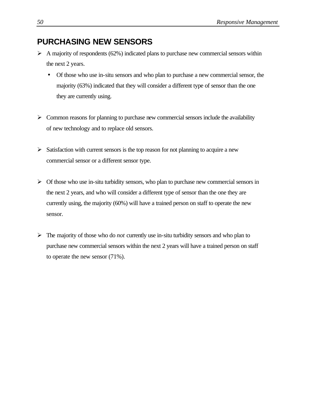### **PURCHASING NEW SENSORS**

- $\triangleright$  A majority of respondents (62%) indicated plans to purchase new commercial sensors within the next 2 years.
	- Of those who use in-situ sensors and who plan to purchase a new commercial sensor, the majority (63%) indicated that they will consider a different type of sensor than the one they are currently using.
- $\triangleright$  Common reasons for planning to purchase new commercial sensors include the availability of new technology and to replace old sensors.
- $\triangleright$  Satisfaction with current sensors is the top reason for not planning to acquire a new commercial sensor or a different sensor type.
- $\triangleright$  Of those who use in-situ turbidity sensors, who plan to purchase new commercial sensors in the next 2 years, and who will consider a different type of sensor than the one they are currently using, the majority (60%) will have a trained person on staff to operate the new sensor.
- $\triangleright$  The majority of those who do *not* currently use in-situ turbidity sensors and who plan to purchase new commercial sensors within the next 2 years will have a trained person on staff to operate the new sensor (71%).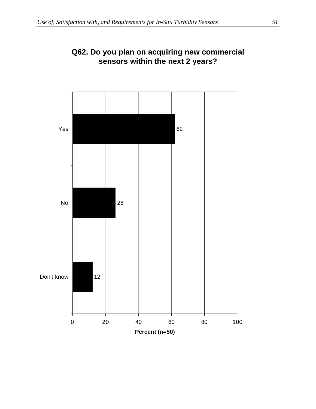

### **Q62. Do you plan on acquiring new commercial sensors within the next 2 years?**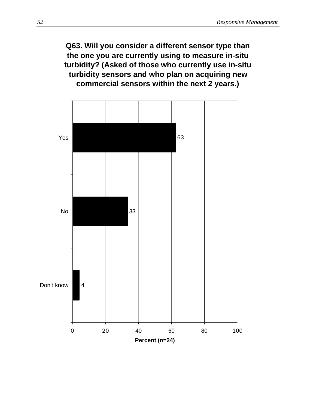**Q63. Will you consider a different sensor type than the one you are currently using to measure in-situ turbidity? (Asked of those who currently use in-situ turbidity sensors and who plan on acquiring new commercial sensors within the next 2 years.)**

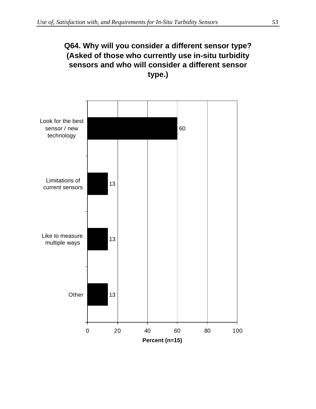### **Q64. Why will you consider a different sensor type? (Asked of those who currently use in-situ turbidity sensors and who will consider a different sensor type.)**

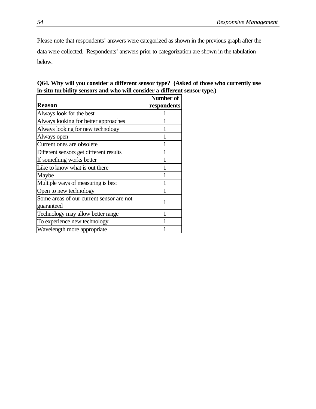Please note that respondents' answers were categorized as shown in the previous graph after the data were collected. Respondents' answers prior to categorization are shown in the tabulation below.

| Q64. Why will you consider a different sensor type? (Asked of those who currently use |  |
|---------------------------------------------------------------------------------------|--|
| in-situ turbidity sensors and who will consider a different sensor type.)             |  |

|                                          | Number of   |
|------------------------------------------|-------------|
| <b>Reason</b>                            | respondents |
| Always look for the best                 |             |
| Always looking for better approaches     |             |
| Always looking for new technology        |             |
| Always open                              |             |
| Current ones are obsolete                |             |
| Different sensors get different results  |             |
| If something works better                |             |
| Like to know what is out there           |             |
| Maybe                                    |             |
| Multiple ways of measuring is best       |             |
| Open to new technology                   |             |
| Some areas of our current sensor are not | 1           |
| guaranteed                               |             |
| Technology may allow better range        |             |
| To experience new technology             |             |
| Wavelength more appropriate              |             |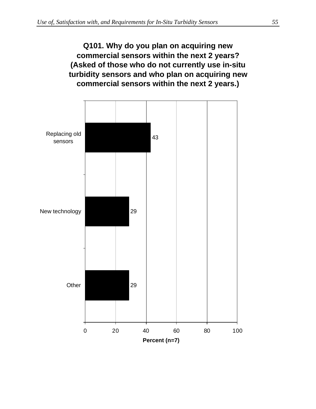# **Q101. Why do you plan on acquiring new commercial sensors within the next 2 years? (Asked of those who do not currently use in-situ turbidity sensors and who plan on acquiring new commercial sensors within the next 2 years.)**

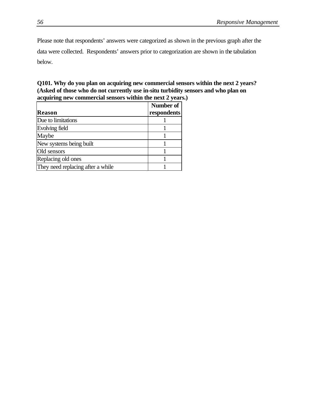Please note that respondents' answers were categorized as shown in the previous graph after the data were collected. Respondents' answers prior to categorization are shown in the tabulation below.

#### **Q101. Why do you plan on acquiring new commercial sensors within the next 2 years? (Asked of those who do not currently use in-situ turbidity sensors and who plan on acquiring new commercial sensors within the next 2 years.)**

|                                   | Number of   |
|-----------------------------------|-------------|
| <b>Reason</b>                     | respondents |
| Due to limitations                |             |
| Evolving field                    |             |
| Maybe                             |             |
| New systems being built           |             |
| Old sensors                       |             |
| Replacing old ones                |             |
| They need replacing after a while |             |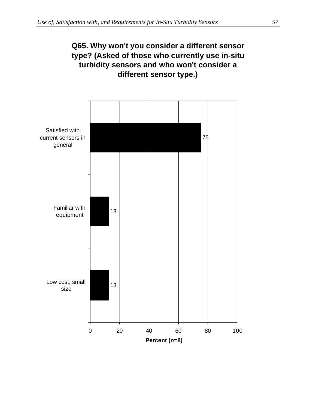### **Q65. Why won't you consider a different sensor type? (Asked of those who currently use in-situ turbidity sensors and who won't consider a different sensor type.)**

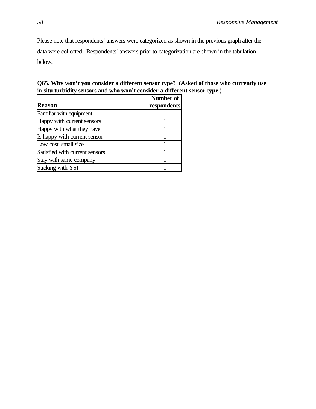Please note that respondents' answers were categorized as shown in the previous graph after the data were collected. Respondents' answers prior to categorization are shown in the tabulation below.

|  |  | Q65. Why won't you consider a different sensor type? (Asked of those who currently use |  |  |  |
|--|--|----------------------------------------------------------------------------------------|--|--|--|
|  |  | in-situ turbidity sensors and who won't consider a different sensor type.)             |  |  |  |

|                                | <b>Number of</b> |
|--------------------------------|------------------|
| <b>Reason</b>                  | respondents      |
| Familiar with equipment        |                  |
| Happy with current sensors     |                  |
| Happy with what they have      |                  |
| Is happy with current sensor   |                  |
| Low cost, small size           |                  |
| Satisfied with current sensors |                  |
| Stay with same company         |                  |
| Sticking with YSI              |                  |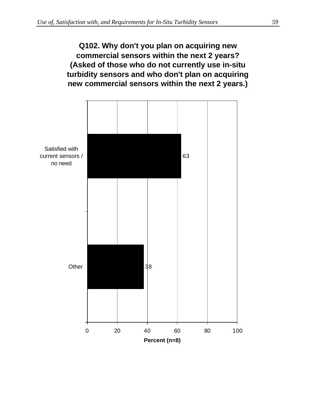# **Q102. Why don't you plan on acquiring new commercial sensors within the next 2 years? (Asked of those who do not currently use in-situ turbidity sensors and who don't plan on acquiring new commercial sensors within the next 2 years.)**

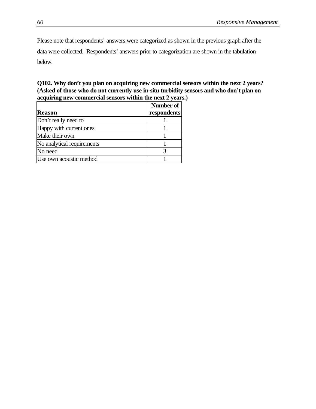Please note that respondents' answers were categorized as shown in the previous graph after the data were collected. Respondents' answers prior to categorization are shown in the tabulation below.

**Q102. Why don't you plan on acquiring new commercial sensors within the next 2 years? (Asked of those who do not currently use in-situ turbidity sensors and who don't plan on acquiring new commercial sensors within the next 2 years.)**

|                            | Number of   |
|----------------------------|-------------|
| <b>Reason</b>              | respondents |
| Don't really need to       |             |
| Happy with current ones    |             |
| Make their own             |             |
| No analytical requirements |             |
| No need                    |             |
| Use own acoustic method    |             |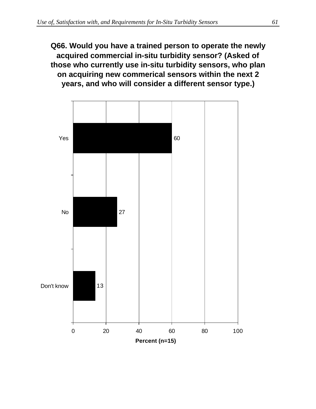**Q66. Would you have a trained person to operate the newly acquired commercial in-situ turbidity sensor? (Asked of those who currently use in-situ turbidity sensors, who plan on acquiring new commerical sensors within the next 2 years, and who will consider a different sensor type.)**

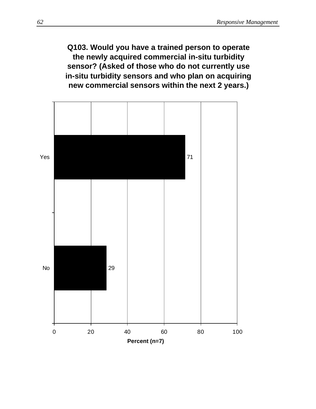**Q103. Would you have a trained person to operate the newly acquired commercial in-situ turbidity sensor? (Asked of those who do not currently use in-situ turbidity sensors and who plan on acquiring new commercial sensors within the next 2 years.)**

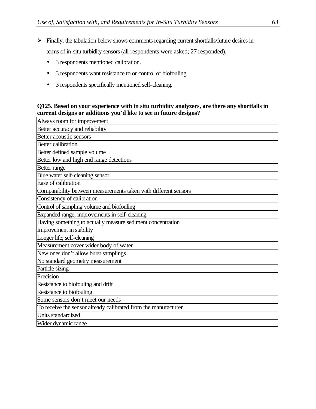$\triangleright$  Finally, the tabulation below shows comments regarding current shortfalls/future desires in

terms of in-situ turbidity sensors (all respondents were asked; 27 responded).

- 3 respondents mentioned calibration.
- 3 respondents want resistance to or control of biofouling.
- 3 respondents specifically mentioned self-cleaning.

## **Q125. Based on your experience with in situ turbidity analyzers, are there any shortfalls in current designs or additions you'd like to see in future designs?**

| Always room for improvement                                     |
|-----------------------------------------------------------------|
| Better accuracy and reliability                                 |
| Better acoustic sensors                                         |
| <b>Better calibration</b>                                       |
| Better defined sample volume                                    |
| Better low and high end range detections                        |
| Better range                                                    |
| Blue water self-cleaning sensor                                 |
| Ease of calibration                                             |
| Comparability between measurements taken with different sensors |
| Consistency of calibration                                      |
| Control of sampling volume and biofouling                       |
| Expanded range; improvements in self-cleaning                   |
| Having something to actually measure sediment concentration     |
| Improvement in stability                                        |
| Longer life; self-cleaning                                      |
| Measurement cover wider body of water                           |
| New ones don't allow burst samplings                            |
| No standard geometry measurement                                |
| Particle sizing                                                 |
| Precision                                                       |
| Resistance to biofouling and drift                              |
| Resistance to biofouling                                        |
| Some sensors don't meet our needs                               |
| To receive the sensor already calibrated from the manufacturer  |
| Units standardized                                              |
| Wider dynamic range                                             |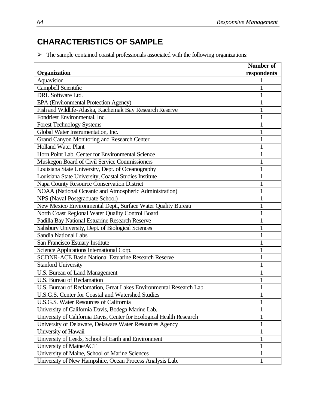## **CHARACTERISTICS OF SAMPLE**

 $\triangleright$  The sample contained coastal professionals associated with the following organizations:

|                                                                       | <b>Number of</b> |
|-----------------------------------------------------------------------|------------------|
| Organization                                                          | respondents      |
| Aquavision                                                            |                  |
| Campbell Scientific                                                   |                  |
| <b>DRL</b> Software Ltd.                                              |                  |
| EPA (Environmental Protection Agency)                                 |                  |
| Fish and Wildlife-Alaska, Kachemak Bay Research Reserve               |                  |
| Fondriest Environmental, Inc.                                         | 1                |
| <b>Forest Technology Systems</b>                                      |                  |
| Global Water Instrumentation, Inc.                                    | 1                |
| Grand Canyon Monitoring and Research Center                           |                  |
| <b>Holland Water Plant</b>                                            | 1                |
| Horn Point Lab, Center for Environmental Science                      | 1                |
| Muskegon Board of Civil Service Commissioners                         |                  |
| Louisiana State University, Dept. of Oceanography                     | 1                |
| Louisiana State University, Coastal Studies Institute                 |                  |
| Napa County Resource Conservation District                            | 1                |
| NOAA (National Oceanic and Atmospheric Administration)                |                  |
| NPS (Naval Postgraduate School)                                       |                  |
| New Mexico Environmental Dept., Surface Water Quality Bureau          | 1                |
| North Coast Regional Water Quality Control Board                      | 1                |
| Padilla Bay National Estuarine Research Reserve                       |                  |
| Salisbury University, Dept. of Biological Sciences                    | 1                |
| <b>Sandia National Labs</b>                                           |                  |
| San Francisco Estuary Institute                                       | 1                |
| Science Applications International Corp.                              |                  |
| <b>SCDNR-ACE Basin National Estuarine Research Reserve</b>            |                  |
| <b>Stanford University</b>                                            | 1                |
| U.S. Bureau of Land Management                                        |                  |
| <b>U.S. Bureau of Reclamation</b>                                     | 1                |
| U.S. Bureau of Reclamation, Great Lakes Environmental Research Lab.   |                  |
| U.S.G.S. Center for Coastal and Watershed Studies                     | T                |
| U.S.G.S. Water Resources of California                                |                  |
| University of California Davis, Bodega Marine Lab.                    | 1                |
| University of California Davis, Center for Ecological Health Research | 1                |
| University of Delaware, Delaware Water Resources Agency               | 1                |
| University of Hawaii                                                  | 1                |
| University of Leeds, School of Earth and Environment                  | 1                |
| University of Maine/ACT                                               | 1                |
| University of Maine, School of Marine Sciences                        | 1                |
| University of New Hampshire, Ocean Process Analysis Lab.              | 1                |